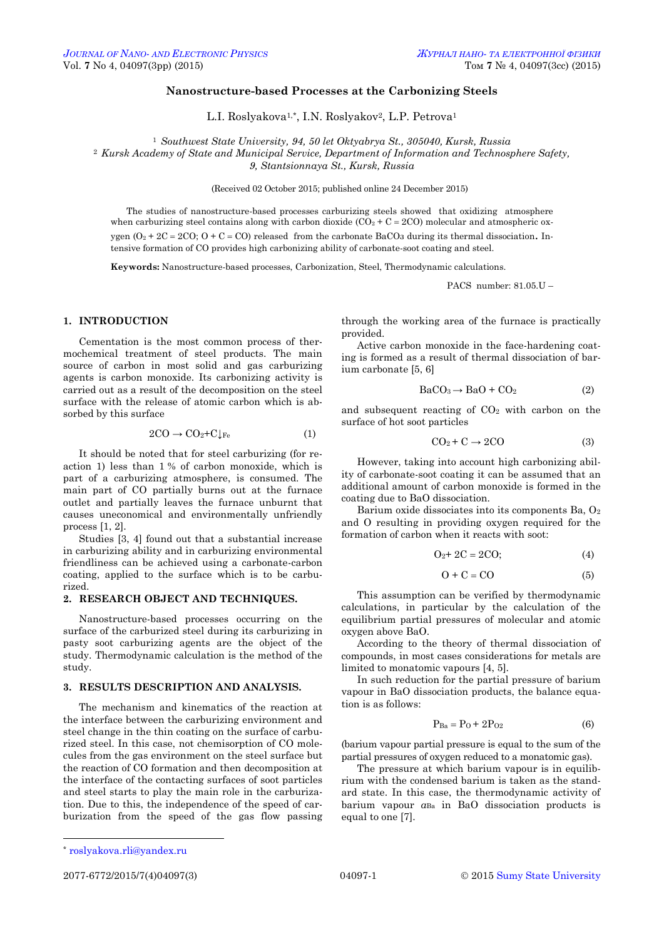## **Nanostructure-based Processes at the Carbonizing Steels**

L.I. Roslyakova1,\* , I.N. Roslyakov2, L.P. Petrova<sup>1</sup>

<sup>1</sup> *Southwest State University, 94, 50 let Oktyabrya St., 305040, Kursk, Russia*

<sup>2</sup> *Kursk Academy of State and Municipal Service, Department of Information and Technosphere Safety,*

*9, Stantsionnaya St., Kursk, Russia*

(Received 02 October 2015; published online 24 December 2015)

The studies of nanostructure-based processes carburizing steels showed that oxidizing atmosphere when carburizing steel contains along with carbon dioxide  $(CO_2 + C = 2CO)$  molecular and atmospheric oxygen ( $O_2 + 2C = 2CO$ ;  $O + C = CO$ ) released from the carbonate BaCO<sub>3</sub> during its thermal dissociation. Intensive formation of CO provides high carbonizing ability of carbonate-soot coating and steel.

**Keywords:** Nanostructure-based processes, Carbonization, Steel, Thermodynamic calculations.

PACS number: 81.05.U –

#### **1. INTRODUCTION**

Cementation is the most common process of thermochemical treatment of steel products. The main source of carbon in most solid and gas carburizing agents is carbon monoxide. Its carbonizing activity is carried out as a result of the decomposition on the steel surface with the release of atomic carbon which is absorbed by this surface

$$
2\mathrm{CO} \to \mathrm{CO}_2 + \mathrm{C}\downarrow_{\mathrm{Fe}} \tag{1}
$$

It should be noted that for steel carburizing (for reaction 1) less than 1 % of carbon monoxide, which is part of a carburizing atmosphere, is consumed. The main part of CO partially burns out at the furnace outlet and partially leaves the furnace unburnt that causes uneconomical and environmentally unfriendly process [1, 2].

Studies [3, 4] found out that a substantial increase in carburizing ability and in carburizing environmental friendliness can be achieved using a carbonate-carbon coating, applied to the surface which is to be carburized.

#### **2. RESEARCH OBJECT AND TECHNIQUES.**

Nanostructure-based processes occurring on the surface of the carburized steel during its carburizing in pasty soot carburizing agents are the object of the study. Thermodynamic calculation is the method of the study.

# **3. RESULTS DESCRIPTION AND ANALYSIS.**

The mechanism and kinematics of the reaction at the interface between the carburizing environment and steel change in the thin coating on the surface of carburized steel. In this case, not chemisorption of CO molecules from the gas environment on the steel surface but the reaction of CO formation and then decomposition at the interface of the contacting surfaces of soot particles and steel starts to play the main role in the carburization. Due to this, the independence of the speed of carburization from the speed of the gas flow passing through the working area of the furnace is practically provided.

Active carbon monoxide in the face-hardening coating is formed as a result of thermal dissociation of barium carbonate [5, 6]

$$
BaCO_3 \rightarrow BaO + CO_2 \tag{2}
$$

and subsequent reacting of  $CO<sub>2</sub>$  with carbon on the surface of hot soot particles

$$
CO_2 + C \rightarrow 2CO \tag{3}
$$

However, taking into account high carbonizing ability of carbonate-soot coating it can be assumed that an additional amount of carbon monoxide is formed in the coating due to BaO dissociation.

Barium oxide dissociates into its components Ba, O<sub>2</sub> and O resulting in providing oxygen required for the formation of carbon when it reacts with soot:

$$
O_2 + 2C = 2CO;
$$
 (4)

$$
O + C = CO \tag{5}
$$

This assumption can be verified by thermodynamic calculations, in particular by the calculation of the equilibrium partial pressures of molecular and atomic oxygen above BaO.

According to the theory of thermal dissociation of compounds, in most cases considerations for metals are limited to monatomic vapours [4, 5].

In such reduction for the partial pressure of barium vapour in BaO dissociation products, the balance equation is as follows:

$$
P_{Ba} = P_0 + 2P_{02} \tag{6}
$$

(barium vapour partial pressure is equal to the sum of the partial pressures of oxygen reduced to a monatomic gas).

The pressure at which barium vapour is in equilibrium with the condensed barium is taken as the standard state. In this case, the thermodynamic activity of barium vapour *а*Ва in BaO dissociation products is equal to one [7].

**.** 

<span id="page-0-3"></span><span id="page-0-2"></span><span id="page-0-1"></span><span id="page-0-0"></span>

<sup>\*</sup> [roslyakova.rli@yandex.ru](mailto:roslyakova.rli@yandex.ru)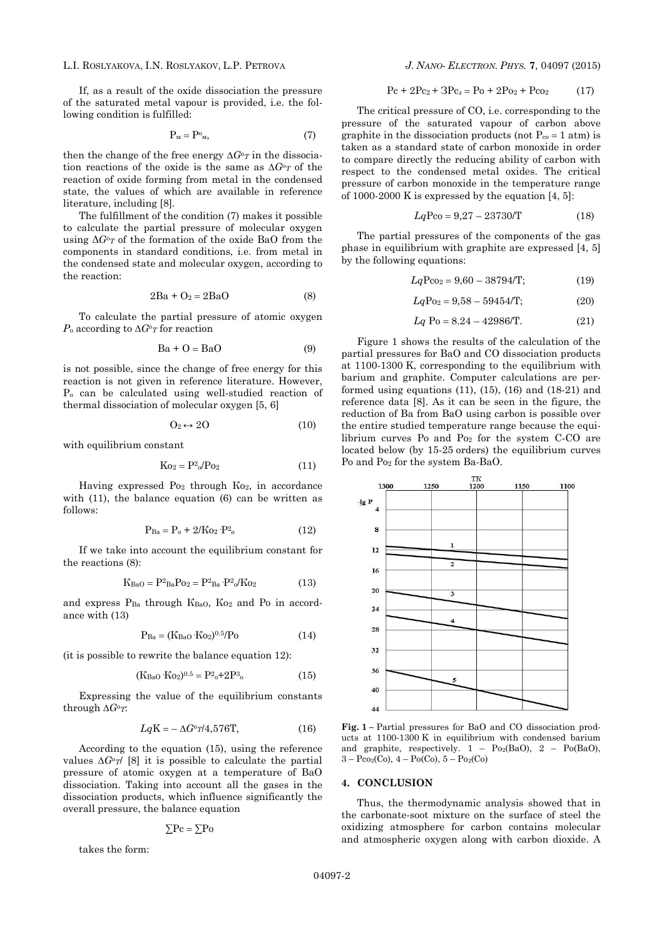### L.I. ROSLYAKOVA, I.N. ROSLYAKOV, L.P. PETROVA *J. NANO- ELECTRON. PHYS.* **[7](#page-0-2)**, [04097](#page-0-2) [\(2015\)](#page-0-2)

If, as a result of the oxide dissociation the pressure of the saturated metal vapour is provided, i.e. the following condition is fulfilled:

$$
P_{M} = P^{o}{}_{M},\tag{7}
$$

then the change of the free energy ∆*G*<sup>о</sup>*<sup>T</sup>* in the dissociation reactions of the oxide is the same as ∆*G*<sup>о</sup>*<sup>T</sup>* of the reaction of oxide forming from metal in the condensed state, the values of which are available in reference literature, including [8].

The fulfillment of the condition (7) makes it possible to calculate the partial pressure of molecular oxygen using  $\Delta G^0$ <sup>o</sup> of the formation of the oxide BaO from the components in standard conditions, i.e. from metal in the condensed state and molecular oxygen, according to the reaction:

$$
2Ba + O_2 = 2BaO \tag{8}
$$

To calculate the partial pressure of atomic oxygen *Р*<sup>о</sup> according to ∆*G*<sup>о</sup>*<sup>Т</sup>* for reaction

$$
Ba + O = BaO \tag{9}
$$

is not possible, since the change of free energy for this reaction is not given in reference literature. However, P<sub>o</sub> can be calculated using well-studied reaction of thermal dissociation of molecular oxygen [5, 6]

$$
O_2 \leftrightarrow 2O \tag{10}
$$

with equilibrium constant

$$
K_{02} = P^2 \circ P_{02} \tag{11}
$$

Having expressed Po<sub>2</sub> through Ko<sub>2</sub>, in accordance with (11), the balance equation (6) can be written as follows:

$$
P_{Ba} = P_o + 2/Ko_2 \cdot P_{o}^{2}
$$
 (12)

If we take into account the equilibrium constant for the reactions (8):

$$
K_{BaO} = P^{2}_{Ba}P_{O2} = P^{2}_{Ba} \cdot P^{2}_{o}/K_{O2}
$$
 (13)

and express  $P_{Ba}$  through  $K_{BaO}$ ,  $K_{O2}$  and  $Po$  in accordance with (13)

$$
P_{Ba} = (K_{BaO} \cdot K_{O2})^{0.5} / P_{O}
$$
 (14)

(it is possible to rewrite the balance equation 12):

$$
(KBaO·KO2)0.5 = P2o+2P3o
$$
 (15)

Expressing the value of the equilibrium constants through ∆*G*<sup>о</sup>*T*:

$$
LqK = -\Delta G^{\circ}r/4,576T,\tag{16}
$$

According to the equation (15), using the reference values ∆*G*<sup>o</sup>*T*/ [8] it is possible to calculate the partial pressure of atomic oxygen at a temperature of BaO dissociation. Taking into account all the gases in the dissociation products, which influence significantly the overall pressure, the balance equation

$$
\sum Pc = \sum Po
$$

takes the form:

$$
Pc + 2Pc_2 + 3Pc_3 = Po + 2Po_2 + Pco_2 \tag{17}
$$

The critical pressure of CO, i.e. corresponding to the pressure of the saturated vapour of carbon above graphite in the dissociation products (not  $P_{co} = 1$  atm) is taken as a standard state of carbon monoxide in order to compare directly the reducing ability of carbon with respect to the condensed metal oxides. The critical pressure of carbon monoxide in the temperature range of  $1000-2000$  K is expressed by the equation  $[4, 5]$ :

$$
LqPco = 9.27 - 23730/T
$$
 (18)

The partial pressures of the components of the gas phase in equilibrium with graphite are expressed [4, 5] by the following equations:

$$
LqPco2 = 9,60 - 38794/T;
$$
 (19)

$$
Lq
$$
Po<sub>2</sub> = 9,58 – 59454/T; (20)

$$
Lq \text{ Po} = 8.24 - 42986 \text{/T}. \tag{21}
$$

Figure 1 shows the results of the calculation of the partial pressures for BaO and CO dissociation products at 1100-1300 K, corresponding to the equilibrium with barium and graphite. Computer calculations are performed using equations  $(11)$ ,  $(15)$ ,  $(16)$  and  $(18-21)$  and reference data [8]. As it can be seen in the figure, the reduction of Ва from BaO using carbon is possible over the entire studied temperature range because the equilibrium curves Ро and Ро<sup>2</sup> for the system С-СО are located below (by 15-25 orders) the equilibrium curves Ро and Ро<sup>2</sup> for the system Ва-ВаО.



**Fig. 1 –** Partial pressures for BaO and CO dissociation products at 1100-1300 K in equilibrium with condensed barium and graphite, respectively.  $1 - Po_2(BaO)$ ,  $2 - Po(BaO)$ ,  $3 - Pco<sub>2</sub>(Co), 4 - Po(Co), 5 - Po<sub>2</sub>(Co)$ 

### **4. CONCLUSION**

Thus, the thermodynamic analysis showed that in the carbonate-soot mixture on the surface of steel the oxidizing atmosphere for carbon contains molecular and atmospheric oxygen along with carbon dioxide. A